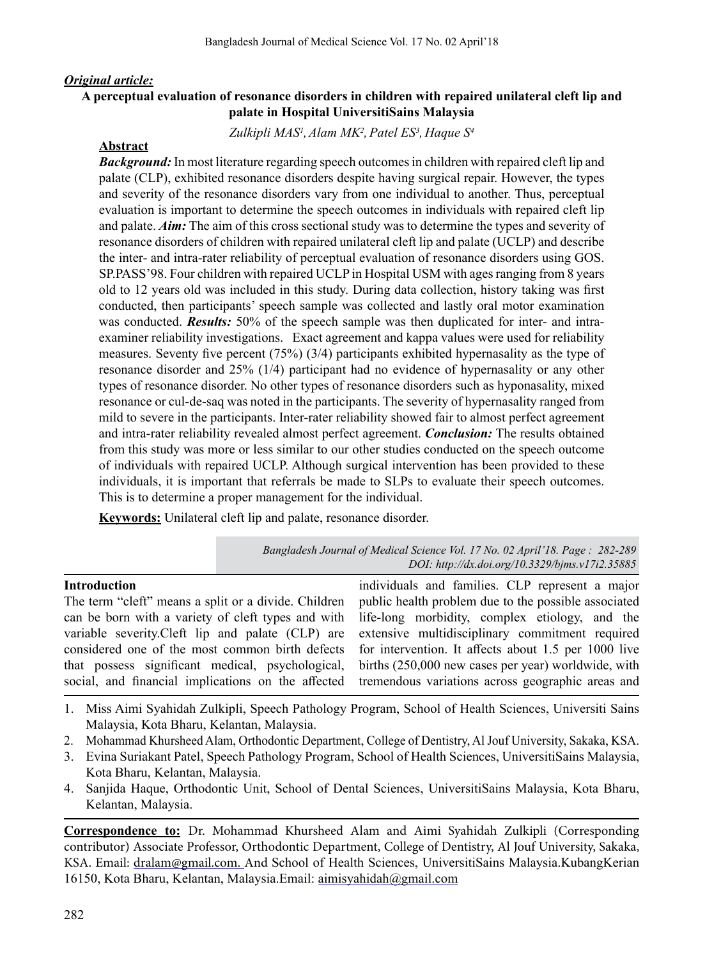## *Original article:*

# **A perceptual evaluation of resonance disorders in children with repaired unilateral cleft lip and palate in Hospital UniversitiSains Malaysia**

*Zulkipli MAS1 ,Alam MK2 ,Patel ES3 , Haque S4*

#### **Abstract**

*Background:* In most literature regarding speech outcomes in children with repaired cleft lip and palate (CLP), exhibited resonance disorders despite having surgical repair. However, the types and severity of the resonance disorders vary from one individual to another. Thus, perceptual evaluation is important to determine the speech outcomes in individuals with repaired cleft lip and palate. *Aim:* The aim of this cross sectional study was to determine the types and severity of resonance disorders of children with repaired unilateral cleft lip and palate (UCLP) and describe the inter- and intra-rater reliability of perceptual evaluation of resonance disorders using GOS. SP.PASS'98. Four children with repaired UCLP in Hospital USM with ages ranging from 8 years old to 12 years old was included in this study. During data collection, history taking was first conducted, then participants' speech sample was collected and lastly oral motor examination was conducted. *Results:* 50% of the speech sample was then duplicated for inter- and intraexaminer reliability investigations. Exact agreement and kappa values were used for reliability measures. Seventy five percent (75%) (3/4) participants exhibited hypernasality as the type of resonance disorder and 25% (1/4) participant had no evidence of hypernasality or any other types of resonance disorder. No other types of resonance disorders such as hyponasality, mixed resonance or cul-de-saq was noted in the participants. The severity of hypernasality ranged from mild to severe in the participants. Inter-rater reliability showed fair to almost perfect agreement and intra-rater reliability revealed almost perfect agreement. *Conclusion:* The results obtained from this study was more or less similar to our other studies conducted on the speech outcome of individuals with repaired UCLP. Although surgical intervention has been provided to these individuals, it is important that referrals be made to SLPs to evaluate their speech outcomes. This is to determine a proper management for the individual.

**Keywords:** Unilateral cleft lip and palate, resonance disorder.

| Bangladesh Journal of Medical Science Vol. 17 No. 02 April'18. Page: 282-289 |  |                                                 |  |
|------------------------------------------------------------------------------|--|-------------------------------------------------|--|
|                                                                              |  | DOI: http://dx.doi.org/10.3329/bjms.v17i2.35885 |  |

| <b>Introduction</b>                                                                                                                                                                                                                                                                                                | individuals and families. CLP represent a major      |
|--------------------------------------------------------------------------------------------------------------------------------------------------------------------------------------------------------------------------------------------------------------------------------------------------------------------|------------------------------------------------------|
| The term "cleft" means a split or a divide. Children                                                                                                                                                                                                                                                               | public health problem due to the possible associated |
| can be born with a variety of cleft types and with life-long morbidity, complex etiology, and the                                                                                                                                                                                                                  |                                                      |
| variable severity. Cleft lip and palate (CLP) are                                                                                                                                                                                                                                                                  | extensive multidisciplinary commitment required      |
| considered one of the most common birth defects for intervention. It affects about 1.5 per 1000 live                                                                                                                                                                                                               |                                                      |
| that possess significant medical, psychological,                                                                                                                                                                                                                                                                   | births (250,000 new cases per year) worldwide, with  |
| social, and financial implications on the affected tremendous variations across geographic areas and                                                                                                                                                                                                               |                                                      |
| $\mathbf{1}$ $\mathbf{M}^*$ $\mathbf{A}^*$ $\mathbf{M}^*$ $\mathbf{C}$ $\mathbf{M}^*$ $\mathbf{M}^*$ $\mathbf{C}$ $\mathbf{M}$ $\mathbf{M}^*$ $\mathbf{M}^*$ $\mathbf{M}^*$ $\mathbf{M}^*$ $\mathbf{M}^*$ $\mathbf{M}^*$ $\mathbf{M}^*$ $\mathbf{M}^*$ $\mathbf{M}^*$ $\mathbf{M}^*$ $\mathbf{M}^*$ $\mathbf{M}^*$ |                                                      |

- 1. Miss Aimi Syahidah Zulkipli, Speech Pathology Program, School of Health Sciences, Universiti Sains Malaysia, Kota Bharu, Kelantan, Malaysia.
- 2. Mohammad Khursheed Alam, Orthodontic Department, College of Dentistry, Al Jouf University, Sakaka, KSA.
- 3. Evina Suriakant Patel, Speech Pathology Program, School of Health Sciences, UniversitiSains Malaysia, Kota Bharu, Kelantan, Malaysia.
- 4. Sanjida Haque, Orthodontic Unit, School of Dental Sciences, UniversitiSains Malaysia, Kota Bharu, Kelantan, Malaysia.

**Correspondence to:** Dr. Mohammad Khursheed Alam and Aimi Syahidah Zulkipli (Corresponding contributor) Associate Professor, Orthodontic Department, College of Dentistry, Al Jouf University, Sakaka, KSA. Email: dralam@gmail.com. And School of Health Sciences, UniversitiSains Malaysia.KubangKerian 16150, Kota Bharu, Kelantan, Malaysia.Email: aimisyahidah@gmail.com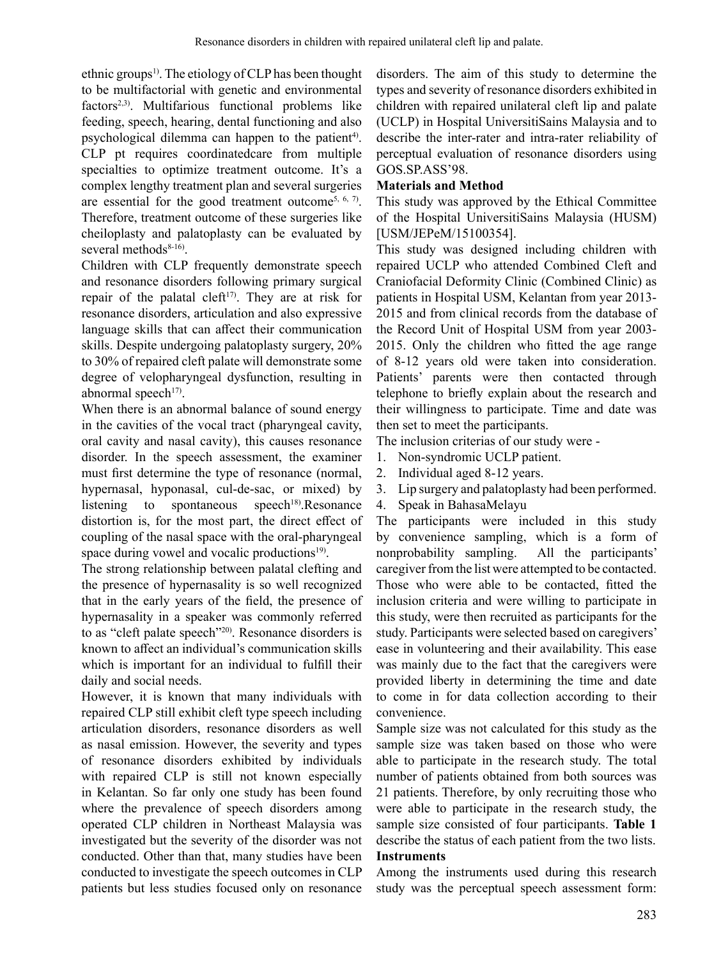ethnic groups<sup>1)</sup>. The etiology of CLP has been thought to be multifactorial with genetic and environmental factors2,3). Multifarious functional problems like feeding, speech, hearing, dental functioning and also psychological dilemma can happen to the patient<sup>4)</sup>. CLP pt requires coordinatedcare from multiple specialties to optimize treatment outcome. It's a complex lengthy treatment plan and several surgeries are essential for the good treatment outcome<sup>5, 6, 7)</sup>. Therefore, treatment outcome of these surgeries like cheiloplasty and palatoplasty can be evaluated by several methods $8-16$ .

Children with CLP frequently demonstrate speech and resonance disorders following primary surgical repair of the palatal cleft<sup>17</sup>. They are at risk for resonance disorders, articulation and also expressive language skills that can affect their communication skills. Despite undergoing palatoplasty surgery, 20% to 30% of repaired cleft palate will demonstrate some degree of velopharyngeal dysfunction, resulting in abnormal speech $17$ ).

When there is an abnormal balance of sound energy in the cavities of the vocal tract (pharyngeal cavity, oral cavity and nasal cavity), this causes resonance disorder. In the speech assessment, the examiner must first determine the type of resonance (normal, hypernasal, hyponasal, cul-de-sac, or mixed) by listening to spontaneous speech<sup>18)</sup>.Resonance distortion is, for the most part, the direct effect of coupling of the nasal space with the oral-pharyngeal space during vowel and vocalic productions<sup>19)</sup>.

The strong relationship between palatal clefting and the presence of hypernasality is so well recognized that in the early years of the field, the presence of hypernasality in a speaker was commonly referred to as "cleft palate speech"<sup>20)</sup>. Resonance disorders is known to affect an individual's communication skills which is important for an individual to fulfill their daily and social needs.

However, it is known that many individuals with repaired CLP still exhibit cleft type speech including articulation disorders, resonance disorders as well as nasal emission. However, the severity and types of resonance disorders exhibited by individuals with repaired CLP is still not known especially in Kelantan. So far only one study has been found where the prevalence of speech disorders among operated CLP children in Northeast Malaysia was investigated but the severity of the disorder was not conducted. Other than that, many studies have been conducted to investigate the speech outcomes in CLP patients but less studies focused only on resonance

disorders. The aim of this study to determine the types and severity of resonance disorders exhibited in children with repaired unilateral cleft lip and palate (UCLP) in Hospital UniversitiSains Malaysia and to describe the inter-rater and intra-rater reliability of perceptual evaluation of resonance disorders using GOS.SP.ASS'98.

# **Materials and Method**

This study was approved by the Ethical Committee of the Hospital UniversitiSains Malaysia (HUSM) [USM/JEPeM/15100354].

This study was designed including children with repaired UCLP who attended Combined Cleft and Craniofacial Deformity Clinic (Combined Clinic) as patients in Hospital USM, Kelantan from year 2013- 2015 and from clinical records from the database of the Record Unit of Hospital USM from year 2003- 2015. Only the children who fitted the age range of 8-12 years old were taken into consideration. Patients' parents were then contacted through telephone to briefly explain about the research and their willingness to participate. Time and date was then set to meet the participants.

The inclusion criterias of our study were -

- 1. Non-syndromic UCLP patient.
- 2. Individual aged 8-12 years.
- 3. Lip surgery and palatoplasty had been performed.
- 4. Speak in BahasaMelayu

The participants were included in this study by convenience sampling, which is a form of nonprobability sampling. All the participants' caregiver from the list were attempted to be contacted. Those who were able to be contacted, fitted the inclusion criteria and were willing to participate in this study, were then recruited as participants for the study. Participants were selected based on caregivers' ease in volunteering and their availability. This ease was mainly due to the fact that the caregivers were provided liberty in determining the time and date to come in for data collection according to their convenience.

Sample size was not calculated for this study as the sample size was taken based on those who were able to participate in the research study. The total number of patients obtained from both sources was 21 patients. Therefore, by only recruiting those who were able to participate in the research study, the sample size consisted of four participants. **Table 1** describe the status of each patient from the two lists.

## **Instruments**

Among the instruments used during this research study was the perceptual speech assessment form: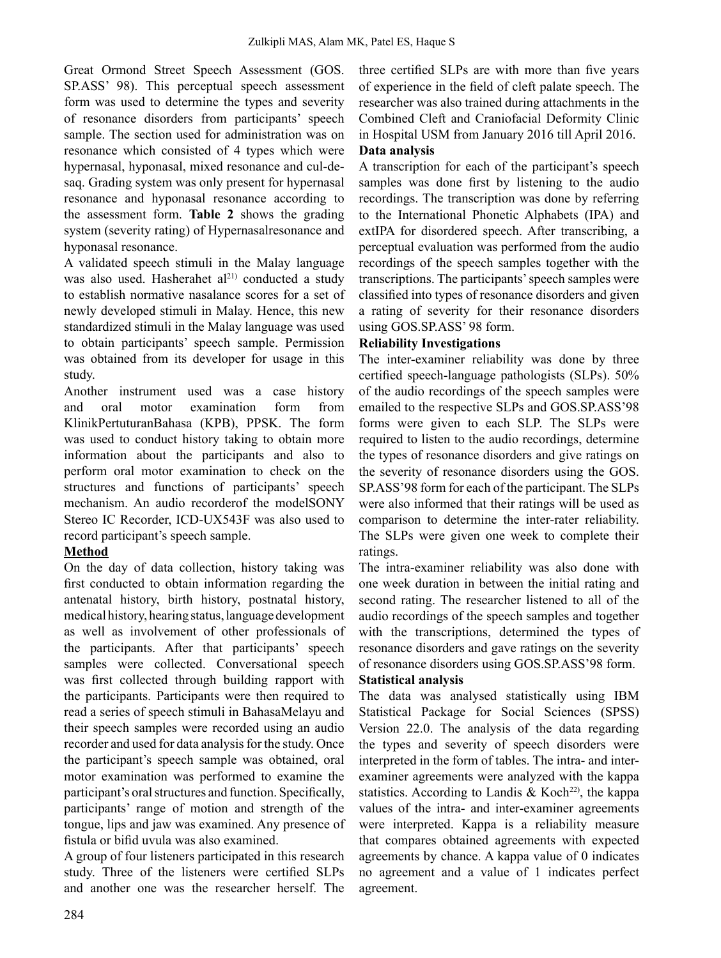Great Ormond Street Speech Assessment (GOS. SP.ASS' 98). This perceptual speech assessment form was used to determine the types and severity of resonance disorders from participants' speech sample. The section used for administration was on resonance which consisted of 4 types which were hypernasal, hyponasal, mixed resonance and cul-desaq. Grading system was only present for hypernasal resonance and hyponasal resonance according to the assessment form. **Table 2** shows the grading system (severity rating) of Hypernasalresonance and hyponasal resonance.

A validated speech stimuli in the Malay language was also used. Hasherahet al<sup>21)</sup> conducted a study to establish normative nasalance scores for a set of newly developed stimuli in Malay. Hence, this new standardized stimuli in the Malay language was used to obtain participants' speech sample. Permission was obtained from its developer for usage in this study.

Another instrument used was a case history and oral motor examination form from KlinikPertuturanBahasa (KPB), PPSK. The form was used to conduct history taking to obtain more information about the participants and also to perform oral motor examination to check on the structures and functions of participants' speech mechanism. An audio recorderof the modelSONY Stereo IC Recorder, ICD-UX543F was also used to record participant's speech sample.

# **Method**

On the day of data collection, history taking was first conducted to obtain information regarding the antenatal history, birth history, postnatal history, medical history, hearing status, language development as well as involvement of other professionals of the participants. After that participants' speech samples were collected. Conversational speech was first collected through building rapport with the participants. Participants were then required to read a series of speech stimuli in BahasaMelayu and their speech samples were recorded using an audio recorder and used for data analysis for the study. Once the participant's speech sample was obtained, oral motor examination was performed to examine the participant's oral structures and function. Specifically, participants' range of motion and strength of the tongue, lips and jaw was examined. Any presence of fistula or bifid uvula was also examined.

A group of four listeners participated in this research study. Three of the listeners were certified SLPs and another one was the researcher herself. The

three certified SLPs are with more than five years of experience in the field of cleft palate speech. The researcher was also trained during attachments in the Combined Cleft and Craniofacial Deformity Clinic in Hospital USM from January 2016 till April 2016. **Data analysis** 

# A transcription for each of the participant's speech samples was done first by listening to the audio recordings. The transcription was done by referring to the International Phonetic Alphabets (IPA) and extIPA for disordered speech. After transcribing, a perceptual evaluation was performed from the audio recordings of the speech samples together with the transcriptions. The participants'speech samples were classified into types of resonance disorders and given a rating of severity for their resonance disorders using GOS.SP.ASS' 98 form.

# **Reliability Investigations**

The inter-examiner reliability was done by three certified speech-language pathologists (SLPs). 50% of the audio recordings of the speech samples were emailed to the respective SLPs and GOS.SP.ASS'98 forms were given to each SLP. The SLPs were required to listen to the audio recordings, determine the types of resonance disorders and give ratings on the severity of resonance disorders using the GOS. SP.ASS'98 form for each of the participant. The SLPs were also informed that their ratings will be used as comparison to determine the inter-rater reliability. The SLPs were given one week to complete their ratings.

The intra-examiner reliability was also done with one week duration in between the initial rating and second rating. The researcher listened to all of the audio recordings of the speech samples and together with the transcriptions, determined the types of resonance disorders and gave ratings on the severity of resonance disorders using GOS.SP.ASS'98 form. **Statistical analysis**

The data was analysed statistically using IBM Statistical Package for Social Sciences (SPSS) Version 22.0. The analysis of the data regarding the types and severity of speech disorders were interpreted in the form of tables. The intra- and interexaminer agreements were analyzed with the kappa statistics. According to Landis & Koch<sup>22)</sup>, the kappa values of the intra- and inter-examiner agreements were interpreted. Kappa is a reliability measure that compares obtained agreements with expected agreements by chance. A kappa value of 0 indicates no agreement and a value of 1 indicates perfect agreement.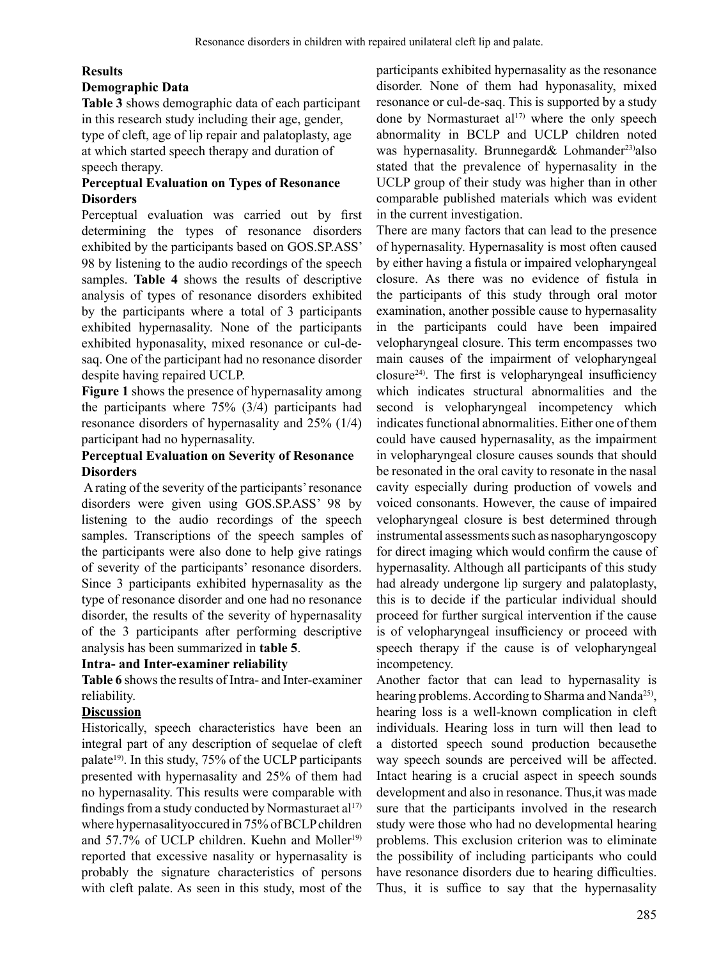# **Results**

# **Demographic Data**

**Table 3** shows demographic data of each participant in this research study including their age, gender, type of cleft, age of lip repair and palatoplasty, age at which started speech therapy and duration of speech therapy.

# **Perceptual Evaluation on Types of Resonance Disorders**

Perceptual evaluation was carried out by first determining the types of resonance disorders exhibited by the participants based on GOS.SP.ASS' 98 by listening to the audio recordings of the speech samples. **Table 4** shows the results of descriptive analysis of types of resonance disorders exhibited by the participants where a total of 3 participants exhibited hypernasality. None of the participants exhibited hyponasality, mixed resonance or cul-desaq. One of the participant had no resonance disorder despite having repaired UCLP.

**Figure 1** shows the presence of hypernasality among the participants where 75% (3/4) participants had resonance disorders of hypernasality and 25% (1/4) participant had no hypernasality.

## **Perceptual Evaluation on Severity of Resonance Disorders**

 A rating of the severity of the participants' resonance disorders were given using GOS.SP.ASS' 98 by listening to the audio recordings of the speech samples. Transcriptions of the speech samples of the participants were also done to help give ratings of severity of the participants' resonance disorders. Since 3 participants exhibited hypernasality as the type of resonance disorder and one had no resonance disorder, the results of the severity of hypernasality of the 3 participants after performing descriptive analysis has been summarized in **table 5**.

# **Intra- and Inter-examiner reliability**

Table 6 shows the results of Intra- and Inter-examiner reliability.

# **Discussion**

Historically, speech characteristics have been an integral part of any description of sequelae of cleft palate19). In this study, 75% of the UCLP participants presented with hypernasality and 25% of them had no hypernasality. This results were comparable with findings from a study conducted by Normasturaet al<sup>17)</sup> where hypernasalityoccured in 75% of BCLP children and  $57.7\%$  of UCLP children. Kuehn and Moller<sup>19)</sup> reported that excessive nasality or hypernasality is probably the signature characteristics of persons with cleft palate. As seen in this study, most of the participants exhibited hypernasality as the resonance disorder. None of them had hyponasality, mixed resonance or cul-de-saq. This is supported by a study done by Normasturaet al<sup>17)</sup> where the only speech abnormality in BCLP and UCLP children noted was hypernasality. Brunnegard & Lohmander<sup>23</sup> also stated that the prevalence of hypernasality in the UCLP group of their study was higher than in other comparable published materials which was evident in the current investigation.

There are many factors that can lead to the presence of hypernasality. Hypernasality is most often caused by either having a fistula or impaired velopharyngeal closure. As there was no evidence of fistula in the participants of this study through oral motor examination, another possible cause to hypernasality in the participants could have been impaired velopharyngeal closure. This term encompasses two main causes of the impairment of velopharyngeal closure24). The first is velopharyngeal insufficiency which indicates structural abnormalities and the second is velopharyngeal incompetency which indicates functional abnormalities. Either one of them could have caused hypernasality, as the impairment in velopharyngeal closure causes sounds that should be resonated in the oral cavity to resonate in the nasal cavity especially during production of vowels and voiced consonants. However, the cause of impaired velopharyngeal closure is best determined through instrumental assessments such as nasopharyngoscopy for direct imaging which would confirm the cause of hypernasality. Although all participants of this study had already undergone lip surgery and palatoplasty, this is to decide if the particular individual should proceed for further surgical intervention if the cause is of velopharyngeal insufficiency or proceed with speech therapy if the cause is of velopharyngeal incompetency.

Another factor that can lead to hypernasality is hearing problems. According to Sharma and Nanda<sup>25</sup>), hearing loss is a well-known complication in cleft individuals. Hearing loss in turn will then lead to a distorted speech sound production becausethe way speech sounds are perceived will be affected. Intact hearing is a crucial aspect in speech sounds development and also in resonance. Thus,it was made sure that the participants involved in the research study were those who had no developmental hearing problems. This exclusion criterion was to eliminate the possibility of including participants who could have resonance disorders due to hearing difficulties. Thus, it is suffice to say that the hypernasality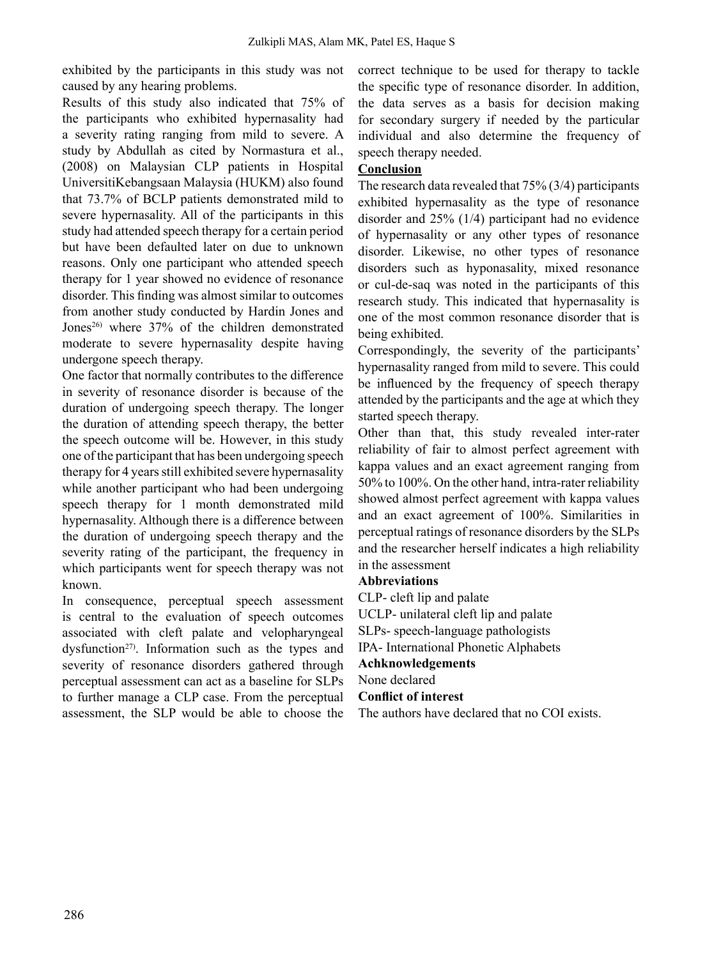exhibited by the participants in this study was not caused by any hearing problems.

Results of this study also indicated that 75% of the participants who exhibited hypernasality had a severity rating ranging from mild to severe. A study by Abdullah as cited by Normastura et al., (2008) on Malaysian CLP patients in Hospital UniversitiKebangsaan Malaysia (HUKM) also found that 73.7% of BCLP patients demonstrated mild to severe hypernasality. All of the participants in this study had attended speech therapy for a certain period but have been defaulted later on due to unknown reasons. Only one participant who attended speech therapy for 1 year showed no evidence of resonance disorder. This finding was almost similar to outcomes from another study conducted by Hardin Jones and Jones<sup>26)</sup> where 37% of the children demonstrated moderate to severe hypernasality despite having undergone speech therapy.

One factor that normally contributes to the difference in severity of resonance disorder is because of the duration of undergoing speech therapy. The longer the duration of attending speech therapy, the better the speech outcome will be. However, in this study one of the participant that has been undergoing speech therapy for 4 years still exhibited severe hypernasality while another participant who had been undergoing speech therapy for 1 month demonstrated mild hypernasality. Although there is a difference between the duration of undergoing speech therapy and the severity rating of the participant, the frequency in which participants went for speech therapy was not known.

In consequence, perceptual speech assessment is central to the evaluation of speech outcomes associated with cleft palate and velopharyngeal dysfunction<sup>27)</sup>. Information such as the types and severity of resonance disorders gathered through perceptual assessment can act as a baseline for SLPs to further manage a CLP case. From the perceptual assessment, the SLP would be able to choose the

correct technique to be used for therapy to tackle the specific type of resonance disorder. In addition, the data serves as a basis for decision making for secondary surgery if needed by the particular individual and also determine the frequency of speech therapy needed.

## **Conclusion**

The research data revealed that 75% (3/4) participants exhibited hypernasality as the type of resonance disorder and 25% (1/4) participant had no evidence of hypernasality or any other types of resonance disorder. Likewise, no other types of resonance disorders such as hyponasality, mixed resonance or cul-de-saq was noted in the participants of this research study. This indicated that hypernasality is one of the most common resonance disorder that is being exhibited.

Correspondingly, the severity of the participants' hypernasality ranged from mild to severe. This could be influenced by the frequency of speech therapy attended by the participants and the age at which they started speech therapy.

Other than that, this study revealed inter-rater reliability of fair to almost perfect agreement with kappa values and an exact agreement ranging from 50% to 100%. On the other hand, intra-rater reliability showed almost perfect agreement with kappa values and an exact agreement of 100%. Similarities in perceptual ratings of resonance disorders by the SLPs and the researcher herself indicates a high reliability in the assessment

## **Abbreviations**

CLP- cleft lip and palate UCLP- unilateral cleft lip and palate SLPs- speech-language pathologists IPA- International Phonetic Alphabets **Achknowledgements** None declared **Conflict of interest** The authors have declared that no COI exists.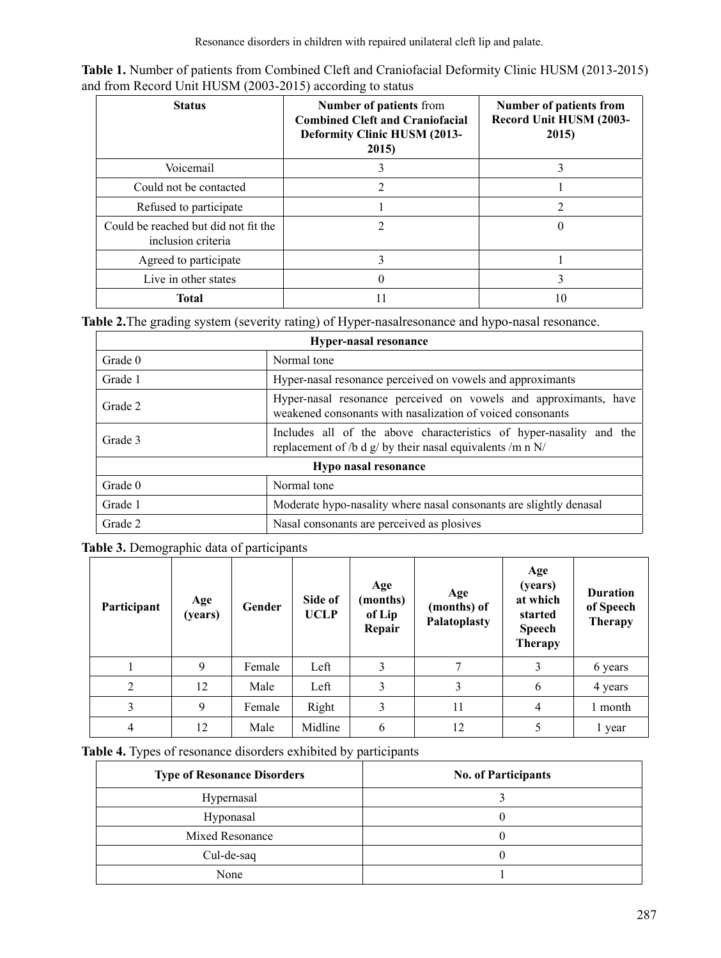Resonance disorders in children with repaired unilateral cleft lip and palate.

| <b>Status</b>                                              | Number of patients from<br><b>Combined Cleft and Craniofacial</b><br><b>Deformity Clinic HUSM (2013-</b><br>2015) | <b>Number of patients from</b><br>Record Unit HUSM (2003-<br>2015) |  |  |
|------------------------------------------------------------|-------------------------------------------------------------------------------------------------------------------|--------------------------------------------------------------------|--|--|
| Voicemail                                                  |                                                                                                                   |                                                                    |  |  |
| Could not be contacted                                     |                                                                                                                   |                                                                    |  |  |
| Refused to participate                                     |                                                                                                                   |                                                                    |  |  |
| Could be reached but did not fit the<br>inclusion criteria |                                                                                                                   |                                                                    |  |  |
| Agreed to participate                                      |                                                                                                                   |                                                                    |  |  |
| Live in other states                                       |                                                                                                                   | 3                                                                  |  |  |
| Total                                                      |                                                                                                                   |                                                                    |  |  |

| Table 1. Number of patients from Combined Cleft and Craniofacial Deformity Clinic HUSM (2013-2015) |
|----------------------------------------------------------------------------------------------------|
| and from Record Unit HUSM (2003-2015) according to status                                          |

**Table 2.**The grading system (severity rating) of Hyper-nasalresonance and hypo-nasal resonance.

| Hyper-nasal resonance |                                                                                                                                     |  |  |  |
|-----------------------|-------------------------------------------------------------------------------------------------------------------------------------|--|--|--|
| Grade 0               | Normal tone                                                                                                                         |  |  |  |
| Grade 1               | Hyper-nasal resonance perceived on vowels and approximants                                                                          |  |  |  |
| Grade 2               | Hyper-nasal resonance perceived on vowels and approximants, have<br>weakened consonants with nasalization of voiced consonants      |  |  |  |
| Grade 3               | Includes all of the above characteristics of hyper-nasality and the<br>replacement of /b d $g$ / by their nasal equivalents /m n N/ |  |  |  |
| Hypo nasal resonance  |                                                                                                                                     |  |  |  |
| Grade 0               | Normal tone                                                                                                                         |  |  |  |
| Grade 1               | Moderate hypo-nasality where nasal consonants are slightly denasal                                                                  |  |  |  |
| Grade 2               | Nasal consonants are perceived as plosives                                                                                          |  |  |  |

**Table 3.** Demographic data of participants

| Participant    | Age<br>(years) | Gender | Side of<br><b>UCLP</b> | Age<br>(months)<br>of Lip<br>Repair | Age<br>(months) of<br>Palatoplasty | Age<br>(years)<br>at which<br>started<br><b>Speech</b><br><b>Therapy</b> | <b>Duration</b><br>of Speech<br><b>Therapy</b> |
|----------------|----------------|--------|------------------------|-------------------------------------|------------------------------------|--------------------------------------------------------------------------|------------------------------------------------|
|                | 9              | Female | Left                   | 3                                   | 7                                  | 3                                                                        | 6 years                                        |
| 2              | 12             | Male   | Left                   | 3                                   | 3                                  | 6                                                                        | 4 years                                        |
| 3              | 9              | Female | Right                  | 3                                   | 11                                 | $\overline{4}$                                                           | 1 month                                        |
| $\overline{4}$ | 12             | Male   | Midline                | 6                                   | 12                                 | 5                                                                        | 1 year                                         |

**Table 4.** Types of resonance disorders exhibited by participants

| <b>Type of Resonance Disorders</b> | <b>No. of Participants</b> |
|------------------------------------|----------------------------|
| Hypernasal                         |                            |
| Hyponasal                          |                            |
| Mixed Resonance                    |                            |
| Cul-de-saq                         |                            |
| None                               |                            |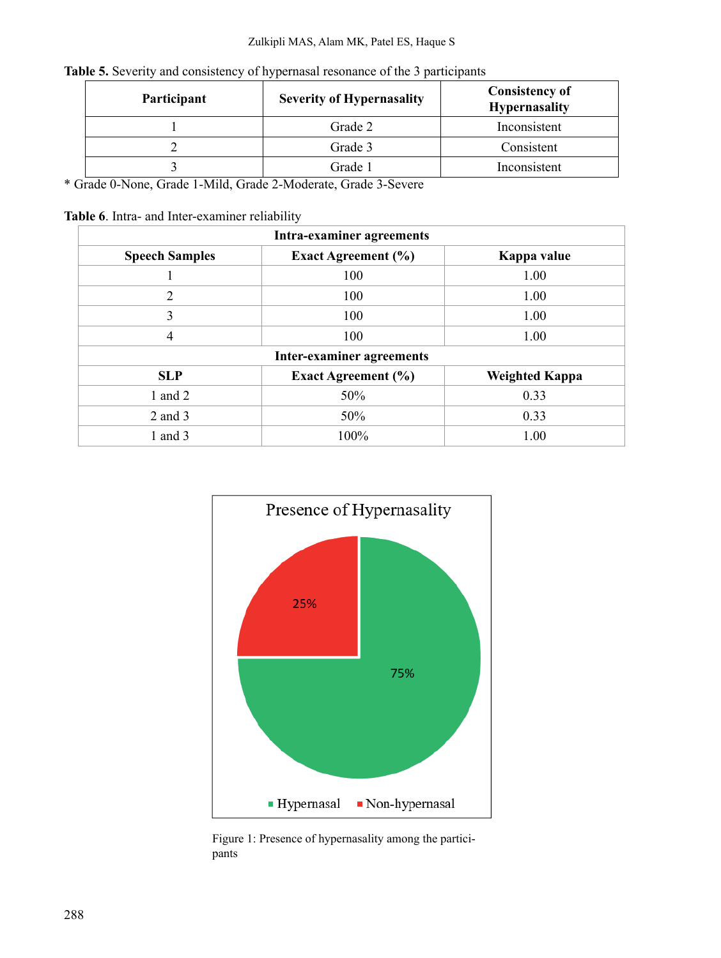## Zulkipli MAS, Alam MK, Patel ES, Haque S

| Participant | <b>Severity of Hypernasality</b> | <b>Consistency of</b><br><b>Hypernasality</b> |
|-------------|----------------------------------|-----------------------------------------------|
|             | Grade 2                          | Inconsistent                                  |
|             | Grade 3                          | Consistent                                    |
|             | Grade 1                          | Inconsistent                                  |

## **Table 5.** Severity and consistency of hypernasal resonance of the 3 participants

\* Grade 0-None, Grade 1-Mild, Grade 2-Moderate, Grade 3-Severe

|  |  | Table 6. Intra- and Inter-examiner reliability |  |
|--|--|------------------------------------------------|--|
|  |  |                                                |  |

| <b>Intra-examiner agreements</b> |                            |                       |  |  |  |  |  |
|----------------------------------|----------------------------|-----------------------|--|--|--|--|--|
| <b>Speech Samples</b>            | <b>Exact Agreement</b> (%) | Kappa value           |  |  |  |  |  |
|                                  | 100                        | 1.00                  |  |  |  |  |  |
| $\overline{2}$                   | 100                        | 1.00                  |  |  |  |  |  |
| 3                                | 100                        | 1.00                  |  |  |  |  |  |
| $\overline{4}$                   | 100                        | 1.00                  |  |  |  |  |  |
| <b>Inter-examiner agreements</b> |                            |                       |  |  |  |  |  |
| <b>SLP</b>                       | Exact Agreement $(\% )$    | <b>Weighted Kappa</b> |  |  |  |  |  |
| 1 and $2$                        | 50%                        | 0.33                  |  |  |  |  |  |
| $2$ and $3$                      | 50%                        | 0.33                  |  |  |  |  |  |
| 1 and $3$                        | 100%                       | 1.00                  |  |  |  |  |  |



Figure 1: Presence of hypernasality among the participants